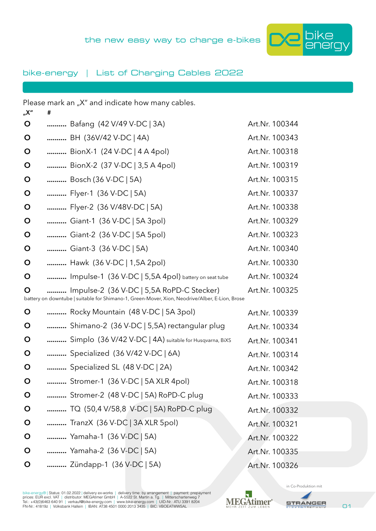

## bike-energy | List of Charging Cables 2022

| "X"         | # | Please mark an "X" and indicate how many cables.                                                                                            |                |
|-------------|---|---------------------------------------------------------------------------------------------------------------------------------------------|----------------|
| O           |   | Bafang (42 V/49 V-DC   3A)                                                                                                                  | Art.Nr. 100344 |
| O           |   | BH (36V/42 V-DC   4A)                                                                                                                       | Art.Nr. 100343 |
| O           |   | BionX-1 (24 V-DC   4 A 4pol)                                                                                                                | Art.Nr. 100318 |
| O           |   | BionX-2 (37 V-DC   3,5 A 4pol)                                                                                                              | Art.Nr. 100319 |
| $\mathbf O$ |   | Bosch (36 V-DC   5A)                                                                                                                        | Art.Nr. 100315 |
| O           |   | Flyer-1 (36 V-DC   5A)                                                                                                                      | Art.Nr. 100337 |
| O           |   | Flyer-2 (36 V/48V-DC   5A)                                                                                                                  | Art.Nr. 100338 |
| O           |   | Giant-1 (36 V-DC   5A 3pol)                                                                                                                 | Art.Nr. 100329 |
| O           |   | Giant-2 (36 V-DC   5A 5pol)                                                                                                                 | Art.Nr. 100323 |
| $\mathbf O$ |   | Giant-3 (36 V-DC   5A)                                                                                                                      | Art.Nr. 100340 |
| O           |   | Hawk (36 V-DC   1,5A 2pol)                                                                                                                  | Art.Nr. 100330 |
| O           |   | Impulse-1 (36 V-DC   5,5A 4pol) battery on seat tube                                                                                        | Art.Nr. 100324 |
| O           |   | Impulse-2 (36 V-DC   5,5A RoPD-C Stecker)<br>battery on downtube   suitable for Shimano-1, Green-Mover, Xion, Neodrive/Alber, E-Lion, Brose | Art.Nr. 100325 |
| O           |   | Rocky Mountain (48 V-DC   5A 3pol)                                                                                                          | Art.Nr. 100339 |
| O           |   | Shimano-2 (36 V-DC   5,5A) rectangular plug                                                                                                 | Art.Nr. 100334 |
| O           |   | Simplo (36 V/42 V-DC   4A) suitable for Husqvarna, BiXS                                                                                     | Art.Nr. 100341 |
| O           |   | Specialized (36 V/42 V-DC   6A)                                                                                                             | Art.Nr. 100314 |
| O           |   | Specialized SL (48 V-DC   2A)                                                                                                               | Art.Nr. 100342 |
| $\mathbf O$ |   | Stromer-1 (36 V-DC   5A XLR 4pol)                                                                                                           | Art.Nr. 100318 |
| $\mathbf O$ |   | Stromer-2 (48 V-DC   5A) RoPD-C plug                                                                                                        | Art.Nr. 100333 |
| $\mathbf O$ |   | TQ (50,4 V/58,8 V-DC   5A) RoPD-C plug                                                                                                      | Art.Nr. 100332 |
| $\mathbf O$ |   | TranzX (36 V-DC   3A XLR 5pol)                                                                                                              | Art.Nr. 100321 |
| $\mathbf O$ |   | Yamaha-1 (36 V-DC   5A)                                                                                                                     | Art.Nr. 100322 |
| $\mathbf O$ |   | Yamaha-2 (36 V-DC   5A)                                                                                                                     | Art.Nr. 100335 |
| $\mathbf O$ |   | Zündapp-1 (36 V-DC   5A)                                                                                                                    | Art.Nr. 100326 |

bike-energy® | Status: 01.02.2022 | delivery ex-works | delivery time: by arrangement | payment: prepayment<br>prices: EUR excl. VAT | distributor: MEGAtliner GmbH | A-5522 St. Martin a. Tg. | Mitterschartenweg 7<br>Tel.: +43(0





in Co-Produktion mit